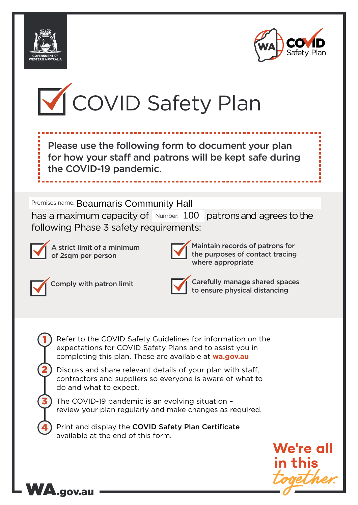





Please use the following form to document your plan for how your staff and patrons will be kept safe during the COVID-19 pandemic.

Premises name: Beaumaris Community Hall

Premises name: Beaumaris Community Hall<br>has a maximum capacity of Number: 100 patrons and agrees to the following Phase 3 safety requirements:



A strict limit of a minimum of 2sqm per person



Maintain records of patrons for the purposes of contact tracing where appropriate



1

2

3

4

WA.gov.au

Comply with patron limit Carefully manage shared spaces to ensure physical distancing

Refer to the COVID Safety Guidelines for information on the expectations for COVID Safety Plans and to assist you in completing this plan. These are available at **wa.gov.au**

Discuss and share relevant details of your plan with staff, contractors and suppliers so everyone is aware of what to do and what to expect.

The COVID-19 pandemic is an evolving situation – review your plan regularly and make changes as required.

Print and display the COVID Safety Plan Certificate available at the end of this form.

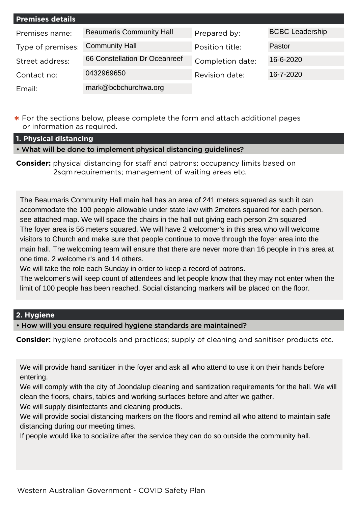| <b>Premises details</b> |                                 |                  |                        |
|-------------------------|---------------------------------|------------------|------------------------|
| Premises name:          | <b>Beaumaris Community Hall</b> | Prepared by:     | <b>BCBC Leadership</b> |
| Type of premises:       | <b>Community Hall</b>           | Position title:  | Pastor                 |
| Street address:         | 66 Constellation Dr Oceanreef   | Completion date: | 16-6-2020              |
| Contact no:             | 0432969650                      | Revision date:   | 16-7-2020              |
| Email:                  | mark@bcbchurchwa.org            |                  |                        |

**\*** For the sections below, please complete the form and attach additional pages or information as required.

**1. Physical distancing**

• What will be done to implement physical distancing guidelines?

**Consider:** physical distancing for staff and patrons; occupancy limits based on 2sqm requirements; management of waiting areas etc.

The Beaumaris Community Hall main hall has an area of 241 meters squared as such it can accommodate the 100 people allowable under state law with 2meters squared for each person. see attached map. We will space the chairs in the hall out giving each person 2m squared The foyer area is 56 meters squared. We will have 2 welcomer's in this area who will welcome visitors to Church and make sure that people continue to move through the foyer area into the main hall. The welcoming team will ensure that there are never more than 16 people in this area at one time. 2 welcome r's and 14 others.

We will take the role each Sunday in order to keep a record of patrons.

The welcomer's will keep count of attendees and let people know that they may not enter when the limit of 100 people has been reached. Social distancing markers will be placed on the floor.

## **2. Hygiene**

• How will you ensure required hygiene standards are maintained?

**Consider:** hygiene protocols and practices; supply of cleaning and sanitiser products etc.

We will provide hand sanitizer in the foyer and ask all who attend to use it on their hands before entering.

We will comply with the city of Joondalup cleaning and santization requirements for the hall. We will clean the floors, chairs, tables and working surfaces before and after we gather.

We will supply disinfectants and cleaning products.

We will provide social distancing markers on the floors and remind all who attend to maintain safe distancing during our meeting times.

If people would like to socialize after the service they can do so outside the community hall.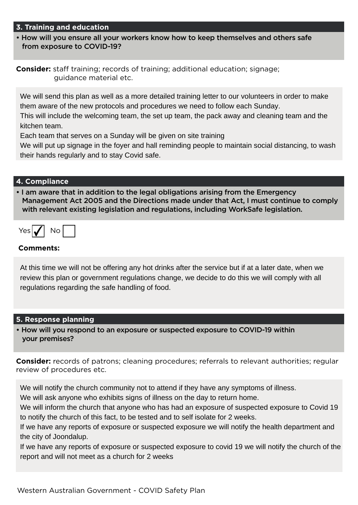### **3. Training and education**

• How will you ensure all your workers know how to keep themselves and others safe from exposure to COVID-19?

**Consider:** staff training; records of training; additional education; signage; guidance material etc.

We will send this plan as well as a more detailed training letter to our volunteers in order to make them aware of the new protocols and procedures we need to follow each Sunday.

This will include the welcoming team, the set up team, the pack away and cleaning team and the kitchen team.

Each team that serves on a Sunday will be given on site training

We will put up signage in the foyer and hall reminding people to maintain social distancing, to wash their hands regularly and to stay Covid safe.

### **4. Compliance**

• I am aware that in addition to the legal obligations arising from the Emergency Management Act 2005 and the Directions made under that Act, I must continue to comply with relevant existing legislation and regulations, including WorkSafe legislation.

| ∼ | 7 |  |
|---|---|--|
|   |   |  |

### **Comments:**

At this time we will not be offering any hot drinks after the service but if at a later date, when we review this plan or government regulations change, we decide to do this we will comply with all regulations regarding the safe handling of food.

#### **5. Response planning**

• How will you respond to an exposure or suspected exposure to COVID-19 within your premises?

**Consider:** records of patrons; cleaning procedures; referrals to relevant authorities; regular review of procedures etc.

We will notify the church community not to attend if they have any symptoms of illness.

We will ask anyone who exhibits signs of illness on the day to return home.

We will inform the church that anyone who has had an exposure of suspected exposure to Covid 19 to notify the church of this fact, to be tested and to self isolate for 2 weeks.

If we have any reports of exposure or suspected exposure we will notify the health department and the city of Joondalup.

If we have any reports of exposure or suspected exposure to covid 19 we will notify the church of the report and will not meet as a church for 2 weeks